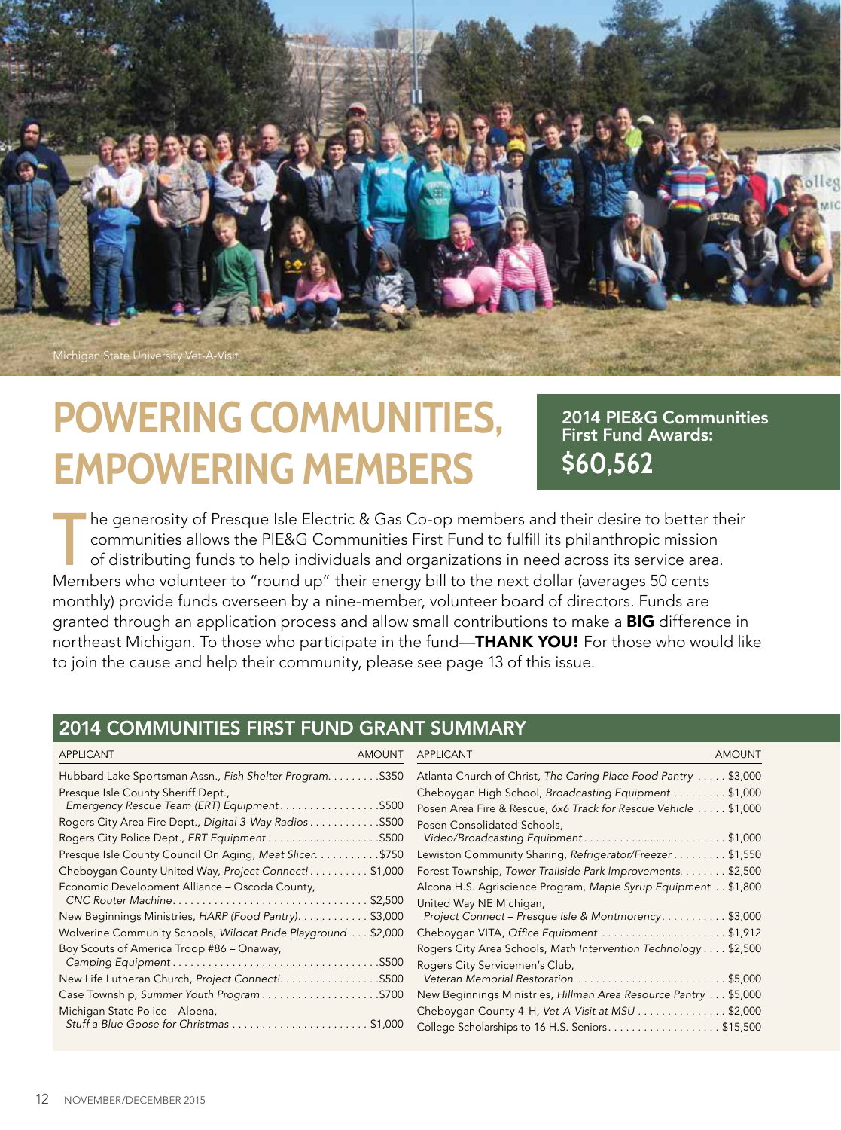

# **POWERING COMMUNITIES, EMPOWERING MEMBERS**

2014 PIE&G Communities First Fund Awards: **\$60,562** 

The generosity of Presque Isle Electric & Gas Co-op members and their desire to better communities allows the PIE&G Communities First Fund to fulfill its philanthropic mission of distributing funds to help individuals and he generosity of Presque Isle Electric & Gas Co-op members and their desire to better their communities allows the PIE&G Communities First Fund to fulfill its philanthropic mission of distributing funds to help individuals and organizations in need across its service area. monthly) provide funds overseen by a nine-member, volunteer board of directors. Funds are granted through an application process and allow small contributions to make a **BIG** difference in northeast Michigan. To those who participate in the fund—THANK YOU! For those who would like to join the cause and help their community, please see page 13 of this issue.

### 2014 COMMUNITIES FIRST FUND GRANT SUMMARY

| <b>APPLICANT</b><br><b>AMOUNT</b>                                                | APPLICANT<br><b>AMOUNT</b>                                                                                              |  |  |
|----------------------------------------------------------------------------------|-------------------------------------------------------------------------------------------------------------------------|--|--|
| Hubbard Lake Sportsman Assn., Fish Shelter Program. \$350                        | Atlanta Church of Christ, The Caring Place Food Pantry  \$3,000                                                         |  |  |
| Presque Isle County Sheriff Dept.,<br>Emergency Rescue Team (ERT) Equipment\$500 | Cheboygan High School, Broadcasting Equipment \$1,000<br>Posen Area Fire & Rescue, 6x6 Track for Rescue Vehicle \$1,000 |  |  |
| Rogers City Area Fire Dept., Digital 3-Way Radios\$500                           | Posen Consolidated Schools,                                                                                             |  |  |
| Rogers City Police Dept., ERT Equipment \$500                                    | Video/Broadcasting Equipment\$1,000                                                                                     |  |  |
| Presque Isle County Council On Aging, Meat Slicer. \$750                         | Lewiston Community Sharing, Refrigerator/Freezer \$1,550                                                                |  |  |
| Cheboygan County United Way, Project Connect!\$1,000                             | Forest Township, Tower Trailside Park Improvements. \$2,500                                                             |  |  |
| Economic Development Alliance - Oscoda County,                                   | Alcona H.S. Agriscience Program, Maple Syrup Equipment \$1,800<br>United Way NE Michigan,                               |  |  |
| New Beginnings Ministries, HARP (Food Pantry). \$3,000                           | Project Connect - Presque Isle & Montmorency\$3,000                                                                     |  |  |
| Wolverine Community Schools, Wildcat Pride Playground \$2,000                    | Cheboygan VITA, Office Equipment \$1,912                                                                                |  |  |
| Boy Scouts of America Troop #86 - Onaway,                                        | Rogers City Area Schools, Math Intervention Technology \$2,500<br>Rogers City Servicemen's Club,                        |  |  |
| New Life Lutheran Church, Project Connect!. \$500                                | Veteran Memorial Restoration \$5,000                                                                                    |  |  |
| Case Township, Summer Youth Program \$700                                        | New Beginnings Ministries, Hillman Area Resource Pantry \$5,000                                                         |  |  |
| Michigan State Police - Alpena,                                                  | Cheboygan County 4-H, Vet-A-Visit at MSU \$2,000                                                                        |  |  |
|                                                                                  | College Scholarships to 16 H.S. Seniors\$15,500                                                                         |  |  |